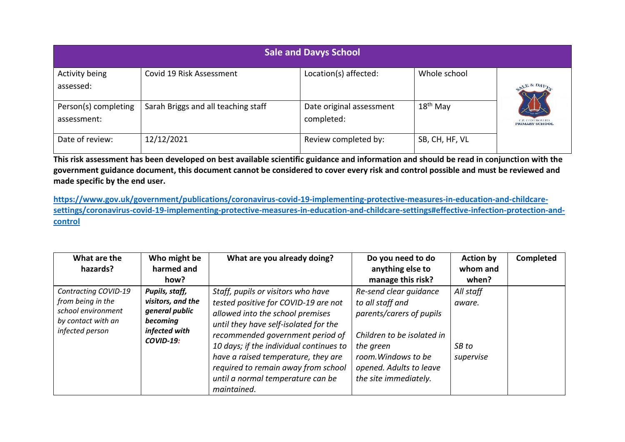| <b>Sale and Davys School</b>        |                                     |                                        |                |                                         |  |  |  |  |
|-------------------------------------|-------------------------------------|----------------------------------------|----------------|-----------------------------------------|--|--|--|--|
| Activity being<br>assessed:         | Covid 19 Risk Assessment            | Location(s) affected:                  | Whole school   |                                         |  |  |  |  |
| Person(s) completing<br>assessment: | Sarah Briggs and all teaching staff | Date original assessment<br>completed: | $18th$ May     | C.E. CONTROLLE<br><b>PRIMARY SCHOOL</b> |  |  |  |  |
| Date of review:                     | 12/12/2021                          | Review completed by:                   | SB, CH, HF, VL |                                         |  |  |  |  |

**This risk assessment has been developed on best available scientific guidance and information and should be read in conjunction with the government guidance document, this document cannot be considered to cover every risk and control possible and must be reviewed and made specific by the end user.** 

**[https://www.gov.uk/government/publications/coronavirus-covid-19-implementing-protective-measures-in-education-and-childcare](https://www.gov.uk/government/publications/coronavirus-covid-19-implementing-protective-measures-in-education-and-childcare-settings/coronavirus-covid-19-implementing-protective-measures-in-education-and-childcare-settings#effective-infection-protection-and-control)[settings/coronavirus-covid-19-implementing-protective-measures-in-education-and-childcare-settings#effective-infection-protection-and](https://www.gov.uk/government/publications/coronavirus-covid-19-implementing-protective-measures-in-education-and-childcare-settings/coronavirus-covid-19-implementing-protective-measures-in-education-and-childcare-settings#effective-infection-protection-and-control)[control](https://www.gov.uk/government/publications/coronavirus-covid-19-implementing-protective-measures-in-education-and-childcare-settings/coronavirus-covid-19-implementing-protective-measures-in-education-and-childcare-settings#effective-infection-protection-and-control)**

| What are the<br>hazards?                                                                                 | Who might be<br>harmed and<br>how?                                                                     | What are you already doing?                                                                                                                                                                                                                                                                                                                                              | Do you need to do<br>anything else to<br>manage this risk?                                                                                                                                   | <b>Action by</b><br>whom and<br>when?     | <b>Completed</b> |
|----------------------------------------------------------------------------------------------------------|--------------------------------------------------------------------------------------------------------|--------------------------------------------------------------------------------------------------------------------------------------------------------------------------------------------------------------------------------------------------------------------------------------------------------------------------------------------------------------------------|----------------------------------------------------------------------------------------------------------------------------------------------------------------------------------------------|-------------------------------------------|------------------|
| Contracting COVID-19<br>from being in the<br>school environment<br>by contact with an<br>infected person | Pupils, staff,<br>visitors, and the<br>general public<br>becoming<br>infected with<br><b>COVID-19:</b> | Staff, pupils or visitors who have<br>tested positive for COVID-19 are not<br>allowed into the school premises<br>until they have self-isolated for the<br>recommended government period of<br>10 days; if the individual continues to<br>have a raised temperature, they are<br>required to remain away from school<br>until a normal temperature can be<br>maintained. | Re-send clear guidance<br>to all staff and<br>parents/carers of pupils<br>Children to be isolated in<br>the green<br>room. Windows to be<br>opened. Adults to leave<br>the site immediately. | All staff<br>aware.<br>SB to<br>supervise |                  |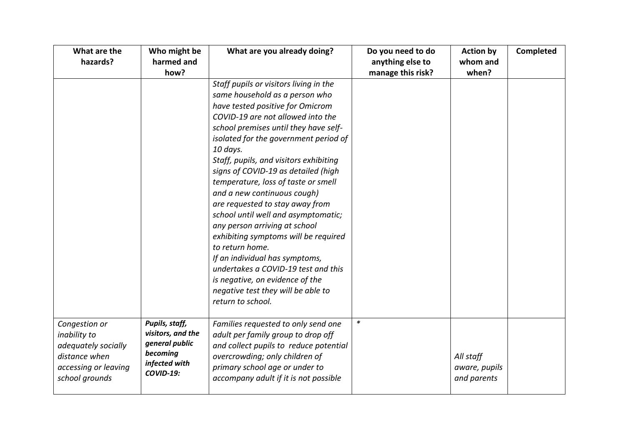| What are the<br>hazards?                                                                                        | Who might be<br>harmed and<br>how?                                                                     | What are you already doing?                                                                                                                                                                                                                                                                                                                                                                                                                                                                                                                                                                                                                                                                                                                         | Do you need to do<br>anything else to<br>manage this risk? | <b>Action by</b><br>whom and<br>when?     | Completed |
|-----------------------------------------------------------------------------------------------------------------|--------------------------------------------------------------------------------------------------------|-----------------------------------------------------------------------------------------------------------------------------------------------------------------------------------------------------------------------------------------------------------------------------------------------------------------------------------------------------------------------------------------------------------------------------------------------------------------------------------------------------------------------------------------------------------------------------------------------------------------------------------------------------------------------------------------------------------------------------------------------------|------------------------------------------------------------|-------------------------------------------|-----------|
|                                                                                                                 |                                                                                                        | Staff pupils or visitors living in the<br>same household as a person who<br>have tested positive for Omicrom<br>COVID-19 are not allowed into the<br>school premises until they have self-<br>isolated for the government period of<br>10 days.<br>Staff, pupils, and visitors exhibiting<br>signs of COVID-19 as detailed (high<br>temperature, loss of taste or smell<br>and a new continuous cough)<br>are requested to stay away from<br>school until well and asymptomatic;<br>any person arriving at school<br>exhibiting symptoms will be required<br>to return home.<br>If an individual has symptoms,<br>undertakes a COVID-19 test and this<br>is negative, on evidence of the<br>negative test they will be able to<br>return to school. |                                                            |                                           |           |
| Congestion or<br>inability to<br>adequately socially<br>distance when<br>accessing or leaving<br>school grounds | Pupils, staff,<br>visitors, and the<br>general public<br>becoming<br>infected with<br><b>COVID-19:</b> | Families requested to only send one<br>adult per family group to drop off<br>and collect pupils to reduce potential<br>overcrowding; only children of<br>primary school age or under to<br>accompany adult if it is not possible                                                                                                                                                                                                                                                                                                                                                                                                                                                                                                                    | $\ast$                                                     | All staff<br>aware, pupils<br>and parents |           |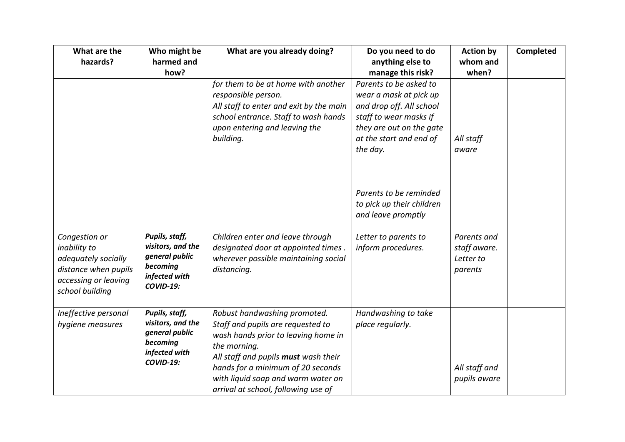| What are the<br>hazards?                                                                                                | Who might be<br>harmed and                                                                             | What are you already doing?                                                                                                                                                                                                                                                        | Do you need to do<br>anything else to                                                                                                                                     | <b>Action by</b><br>whom and                        | Completed |
|-------------------------------------------------------------------------------------------------------------------------|--------------------------------------------------------------------------------------------------------|------------------------------------------------------------------------------------------------------------------------------------------------------------------------------------------------------------------------------------------------------------------------------------|---------------------------------------------------------------------------------------------------------------------------------------------------------------------------|-----------------------------------------------------|-----------|
|                                                                                                                         | how?                                                                                                   |                                                                                                                                                                                                                                                                                    | manage this risk?                                                                                                                                                         | when?                                               |           |
|                                                                                                                         |                                                                                                        | for them to be at home with another<br>responsible person.<br>All staff to enter and exit by the main<br>school entrance. Staff to wash hands<br>upon entering and leaving the<br>building.                                                                                        | Parents to be asked to<br>wear a mask at pick up<br>and drop off. All school<br>staff to wear masks if<br>they are out on the gate<br>at the start and end of<br>the day. | All staff<br>aware                                  |           |
|                                                                                                                         |                                                                                                        |                                                                                                                                                                                                                                                                                    | Parents to be reminded<br>to pick up their children<br>and leave promptly                                                                                                 |                                                     |           |
| Congestion or<br>inability to<br>adequately socially<br>distance when pupils<br>accessing or leaving<br>school building | Pupils, staff,<br>visitors, and the<br>general public<br>becoming<br>infected with<br><b>COVID-19:</b> | Children enter and leave through<br>designated door at appointed times.<br>wherever possible maintaining social<br>distancing.                                                                                                                                                     | Letter to parents to<br>inform procedures.                                                                                                                                | Parents and<br>staff aware.<br>Letter to<br>parents |           |
| Ineffective personal<br>hygiene measures                                                                                | Pupils, staff,<br>visitors, and the<br>general public<br>becoming<br>infected with<br><b>COVID-19:</b> | Robust handwashing promoted.<br>Staff and pupils are requested to<br>wash hands prior to leaving home in<br>the morning.<br>All staff and pupils must wash their<br>hands for a minimum of 20 seconds<br>with liquid soap and warm water on<br>arrival at school, following use of | Handwashing to take<br>place regularly.                                                                                                                                   | All staff and<br>pupils aware                       |           |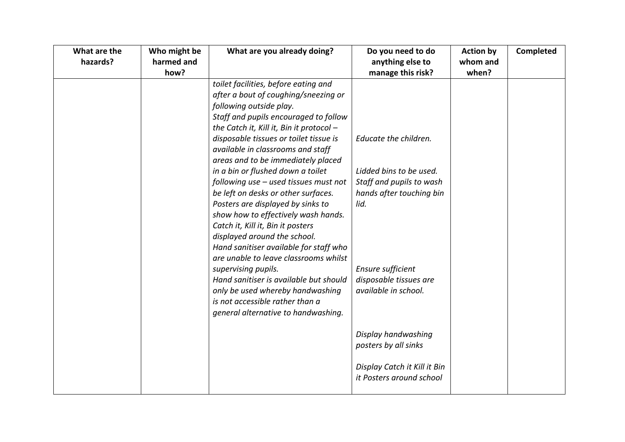| What are the | Who might be       | What are you already doing?                                                     | Do you need to do                     | <b>Action by</b>  | Completed |
|--------------|--------------------|---------------------------------------------------------------------------------|---------------------------------------|-------------------|-----------|
| hazards?     | harmed and<br>how? |                                                                                 | anything else to<br>manage this risk? | whom and<br>when? |           |
|              |                    | toilet facilities, before eating and                                            |                                       |                   |           |
|              |                    | after a bout of coughing/sneezing or                                            |                                       |                   |           |
|              |                    | following outside play.                                                         |                                       |                   |           |
|              |                    | Staff and pupils encouraged to follow                                           |                                       |                   |           |
|              |                    | the Catch it, Kill it, Bin it protocol -                                        |                                       |                   |           |
|              |                    | disposable tissues or toilet tissue is                                          | Educate the children.                 |                   |           |
|              |                    | available in classrooms and staff                                               |                                       |                   |           |
|              |                    | areas and to be immediately placed                                              |                                       |                   |           |
|              |                    | in a bin or flushed down a toilet                                               | Lidded bins to be used.               |                   |           |
|              |                    | following use - used tissues must not                                           | Staff and pupils to wash              |                   |           |
|              |                    | be left on desks or other surfaces.                                             | hands after touching bin              |                   |           |
|              |                    | Posters are displayed by sinks to                                               | lid.                                  |                   |           |
|              |                    | show how to effectively wash hands.                                             |                                       |                   |           |
|              |                    | Catch it, Kill it, Bin it posters                                               |                                       |                   |           |
|              |                    | displayed around the school.                                                    |                                       |                   |           |
|              |                    | Hand sanitiser available for staff who<br>are unable to leave classrooms whilst |                                       |                   |           |
|              |                    | supervising pupils.                                                             | <b>Ensure sufficient</b>              |                   |           |
|              |                    | Hand sanitiser is available but should                                          | disposable tissues are                |                   |           |
|              |                    | only be used whereby handwashing                                                | available in school.                  |                   |           |
|              |                    | is not accessible rather than a                                                 |                                       |                   |           |
|              |                    | general alternative to handwashing.                                             |                                       |                   |           |
|              |                    |                                                                                 |                                       |                   |           |
|              |                    |                                                                                 | Display handwashing                   |                   |           |
|              |                    |                                                                                 | posters by all sinks                  |                   |           |
|              |                    |                                                                                 |                                       |                   |           |
|              |                    |                                                                                 | Display Catch it Kill it Bin          |                   |           |
|              |                    |                                                                                 | it Posters around school              |                   |           |
|              |                    |                                                                                 |                                       |                   |           |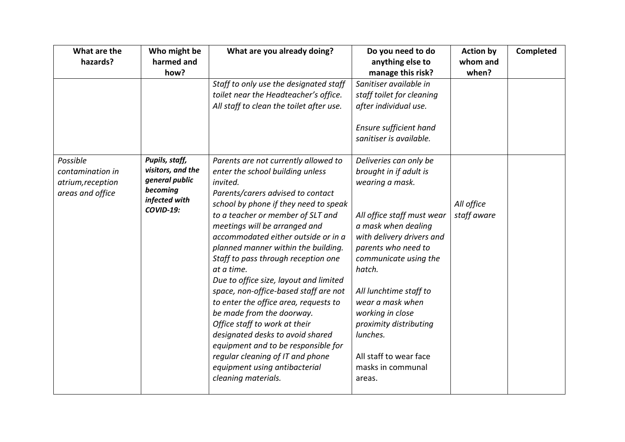| What are the                                                          | Who might be<br>harmed and                                                                             | What are you already doing?                                                                                                                                                                                                                                                                                                                                                                                                                                                                                                                                                                                                                                                                                                                  | Do you need to do                                                                                                                                                                                                                                                                                                                                                                | <b>Action by</b><br>whom and | Completed |
|-----------------------------------------------------------------------|--------------------------------------------------------------------------------------------------------|----------------------------------------------------------------------------------------------------------------------------------------------------------------------------------------------------------------------------------------------------------------------------------------------------------------------------------------------------------------------------------------------------------------------------------------------------------------------------------------------------------------------------------------------------------------------------------------------------------------------------------------------------------------------------------------------------------------------------------------------|----------------------------------------------------------------------------------------------------------------------------------------------------------------------------------------------------------------------------------------------------------------------------------------------------------------------------------------------------------------------------------|------------------------------|-----------|
| hazards?                                                              | how?                                                                                                   |                                                                                                                                                                                                                                                                                                                                                                                                                                                                                                                                                                                                                                                                                                                                              | anything else to<br>manage this risk?                                                                                                                                                                                                                                                                                                                                            | when?                        |           |
|                                                                       |                                                                                                        | Staff to only use the designated staff<br>toilet near the Headteacher's office.<br>All staff to clean the toilet after use.                                                                                                                                                                                                                                                                                                                                                                                                                                                                                                                                                                                                                  | Sanitiser available in<br>staff toilet for cleaning<br>after individual use.<br>Ensure sufficient hand<br>sanitiser is available.                                                                                                                                                                                                                                                |                              |           |
| Possible<br>contamination in<br>atrium, reception<br>areas and office | Pupils, staff,<br>visitors, and the<br>general public<br>becoming<br>infected with<br><b>COVID-19:</b> | Parents are not currently allowed to<br>enter the school building unless<br>invited.<br>Parents/carers advised to contact<br>school by phone if they need to speak<br>to a teacher or member of SLT and<br>meetings will be arranged and<br>accommodated either outside or in a<br>planned manner within the building.<br>Staff to pass through reception one<br>at a time.<br>Due to office size, layout and limited<br>space, non-office-based staff are not<br>to enter the office area, requests to<br>be made from the doorway.<br>Office staff to work at their<br>designated desks to avoid shared<br>equipment and to be responsible for<br>regular cleaning of IT and phone<br>equipment using antibacterial<br>cleaning materials. | Deliveries can only be<br>brought in if adult is<br>wearing a mask.<br>All office staff must wear<br>a mask when dealing<br>with delivery drivers and<br>parents who need to<br>communicate using the<br>hatch.<br>All lunchtime staff to<br>wear a mask when<br>working in close<br>proximity distributing<br>lunches.<br>All staff to wear face<br>masks in communal<br>areas. | All office<br>staff aware    |           |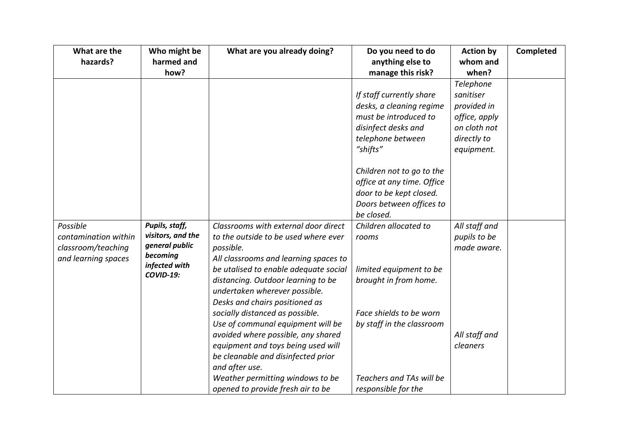| What are the         | Who might be      | What are you already doing?           | Do you need to do          | <b>Action by</b> | Completed |
|----------------------|-------------------|---------------------------------------|----------------------------|------------------|-----------|
| hazards?             | harmed and        |                                       | anything else to           | whom and         |           |
|                      | how?              |                                       | manage this risk?          | when?            |           |
|                      |                   |                                       |                            | Telephone        |           |
|                      |                   |                                       | If staff currently share   | sanitiser        |           |
|                      |                   |                                       | desks, a cleaning regime   | provided in      |           |
|                      |                   |                                       | must be introduced to      | office, apply    |           |
|                      |                   |                                       | disinfect desks and        | on cloth not     |           |
|                      |                   |                                       | telephone between          | directly to      |           |
|                      |                   |                                       | "shifts"                   | equipment.       |           |
|                      |                   |                                       |                            |                  |           |
|                      |                   |                                       | Children not to go to the  |                  |           |
|                      |                   |                                       | office at any time. Office |                  |           |
|                      |                   |                                       | door to be kept closed.    |                  |           |
|                      |                   |                                       | Doors between offices to   |                  |           |
|                      |                   |                                       | be closed.                 |                  |           |
| Possible             | Pupils, staff,    | Classrooms with external door direct  | Children allocated to      | All staff and    |           |
| contamination within | visitors, and the | to the outside to be used where ever  | rooms                      | pupils to be     |           |
| classroom/teaching   | general public    | possible.                             |                            | made aware.      |           |
| and learning spaces  | becoming          | All classrooms and learning spaces to |                            |                  |           |
|                      | infected with     | be utalised to enable adequate social | limited equipment to be    |                  |           |
|                      | <b>COVID-19:</b>  | distancing. Outdoor learning to be    | brought in from home.      |                  |           |
|                      |                   | undertaken wherever possible.         |                            |                  |           |
|                      |                   | Desks and chairs positioned as        |                            |                  |           |
|                      |                   | socially distanced as possible.       | Face shields to be worn    |                  |           |
|                      |                   | Use of communal equipment will be     | by staff in the classroom  |                  |           |
|                      |                   | avoided where possible, any shared    |                            | All staff and    |           |
|                      |                   | equipment and toys being used will    |                            | cleaners         |           |
|                      |                   | be cleanable and disinfected prior    |                            |                  |           |
|                      |                   | and after use.                        |                            |                  |           |
|                      |                   | Weather permitting windows to be      | Teachers and TAs will be   |                  |           |
|                      |                   | opened to provide fresh air to be     | responsible for the        |                  |           |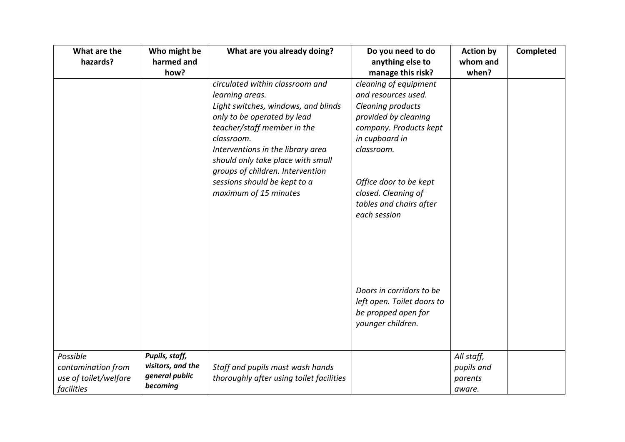| What are the          | Who might be      | What are you already doing?              | Do you need to do          | <b>Action by</b> | Completed |
|-----------------------|-------------------|------------------------------------------|----------------------------|------------------|-----------|
| hazards?              | harmed and        |                                          | anything else to           | whom and         |           |
|                       | how?              |                                          | manage this risk?          | when?            |           |
|                       |                   | circulated within classroom and          | cleaning of equipment      |                  |           |
|                       |                   | learning areas.                          | and resources used.        |                  |           |
|                       |                   | Light switches, windows, and blinds      | Cleaning products          |                  |           |
|                       |                   | only to be operated by lead              | provided by cleaning       |                  |           |
|                       |                   | teacher/staff member in the              | company. Products kept     |                  |           |
|                       |                   | classroom.                               | in cupboard in             |                  |           |
|                       |                   | Interventions in the library area        | classroom.                 |                  |           |
|                       |                   | should only take place with small        |                            |                  |           |
|                       |                   | groups of children. Intervention         |                            |                  |           |
|                       |                   | sessions should be kept to a             | Office door to be kept     |                  |           |
|                       |                   | maximum of 15 minutes                    | closed. Cleaning of        |                  |           |
|                       |                   |                                          | tables and chairs after    |                  |           |
|                       |                   |                                          | each session               |                  |           |
|                       |                   |                                          |                            |                  |           |
|                       |                   |                                          |                            |                  |           |
|                       |                   |                                          |                            |                  |           |
|                       |                   |                                          |                            |                  |           |
|                       |                   |                                          |                            |                  |           |
|                       |                   |                                          |                            |                  |           |
|                       |                   |                                          | Doors in corridors to be   |                  |           |
|                       |                   |                                          | left open. Toilet doors to |                  |           |
|                       |                   |                                          | be propped open for        |                  |           |
|                       |                   |                                          | younger children.          |                  |           |
|                       |                   |                                          |                            |                  |           |
| Possible              | Pupils, staff,    |                                          |                            |                  |           |
| contamination from    | visitors, and the |                                          |                            | All staff,       |           |
| use of toilet/welfare | general public    | Staff and pupils must wash hands         |                            | pupils and       |           |
|                       | becoming          | thoroughly after using toilet facilities |                            | parents          |           |
| facilities            |                   |                                          |                            | aware.           |           |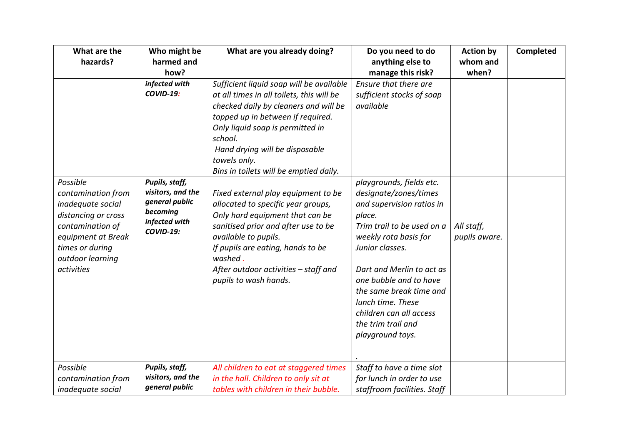| What are the                                                                                                                                                              | Who might be                                                                                    | What are you already doing?                                                                                                                                                                                                                                                                                    | Do you need to do                                                                                                                                                                                                                                                                                                                              | <b>Action by</b>            | <b>Completed</b> |
|---------------------------------------------------------------------------------------------------------------------------------------------------------------------------|-------------------------------------------------------------------------------------------------|----------------------------------------------------------------------------------------------------------------------------------------------------------------------------------------------------------------------------------------------------------------------------------------------------------------|------------------------------------------------------------------------------------------------------------------------------------------------------------------------------------------------------------------------------------------------------------------------------------------------------------------------------------------------|-----------------------------|------------------|
| hazards?                                                                                                                                                                  | harmed and                                                                                      |                                                                                                                                                                                                                                                                                                                | anything else to                                                                                                                                                                                                                                                                                                                               | whom and                    |                  |
|                                                                                                                                                                           | how?                                                                                            |                                                                                                                                                                                                                                                                                                                | manage this risk?                                                                                                                                                                                                                                                                                                                              | when?                       |                  |
|                                                                                                                                                                           | infected with<br><b>COVID-19:</b>                                                               | Sufficient liquid soap will be available<br>at all times in all toilets, this will be<br>checked daily by cleaners and will be<br>topped up in between if required.<br>Only liquid soap is permitted in<br>school.<br>Hand drying will be disposable<br>towels only.<br>Bins in toilets will be emptied daily. | Ensure that there are<br>sufficient stocks of soap<br>available                                                                                                                                                                                                                                                                                |                             |                  |
| Possible<br>contamination from<br>inadequate social<br>distancing or cross<br>contamination of<br>equipment at Break<br>times or during<br>outdoor learning<br>activities | Pupils, staff,<br>visitors, and the<br>general public<br>becoming<br>infected with<br>COVID-19: | Fixed external play equipment to be<br>allocated to specific year groups,<br>Only hard equipment that can be<br>sanitised prior and after use to be<br>available to pupils.<br>If pupils are eating, hands to be<br>washed.<br>After outdoor activities - staff and<br>pupils to wash hands.                   | playgrounds, fields etc.<br>designate/zones/times<br>and supervision ratios in<br>place.<br>Trim trail to be used on a<br>weekly rota basis for<br>Junior classes.<br>Dart and Merlin to act as<br>one bubble and to have<br>the same break time and<br>lunch time. These<br>children can all access<br>the trim trail and<br>playground toys. | All staff,<br>pupils aware. |                  |
| Possible<br>contamination from<br>inadequate social                                                                                                                       | Pupils, staff,<br>visitors, and the<br>general public                                           | All children to eat at staggered times<br>in the hall. Children to only sit at<br>tables with children in their bubble.                                                                                                                                                                                        | Staff to have a time slot<br>for lunch in order to use<br>staffroom facilities. Staff                                                                                                                                                                                                                                                          |                             |                  |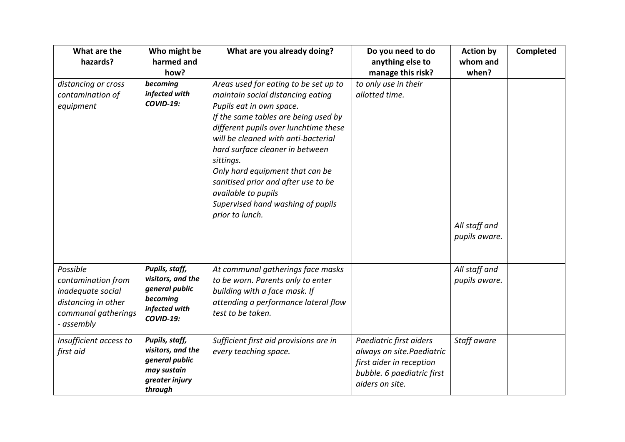| What are the<br>hazards?                                                                                        | Who might be<br>harmed and<br>how?                                                                     | What are you already doing?                                                                                                                                                                                                                                                                                                                                                                                                             | Do you need to do<br>anything else to<br>manage this risk?                                                                        | <b>Action by</b><br>whom and<br>when? | <b>Completed</b> |
|-----------------------------------------------------------------------------------------------------------------|--------------------------------------------------------------------------------------------------------|-----------------------------------------------------------------------------------------------------------------------------------------------------------------------------------------------------------------------------------------------------------------------------------------------------------------------------------------------------------------------------------------------------------------------------------------|-----------------------------------------------------------------------------------------------------------------------------------|---------------------------------------|------------------|
| distancing or cross<br>contamination of<br>equipment                                                            | becoming<br>infected with<br><b>COVID-19:</b>                                                          | Areas used for eating to be set up to<br>maintain social distancing eating<br>Pupils eat in own space.<br>If the same tables are being used by<br>different pupils over lunchtime these<br>will be cleaned with anti-bacterial<br>hard surface cleaner in between<br>sittings.<br>Only hard equipment that can be<br>sanitised prior and after use to be<br>available to pupils<br>Supervised hand washing of pupils<br>prior to lunch. | to only use in their<br>allotted time.                                                                                            | All staff and<br>pupils aware.        |                  |
| Possible<br>contamination from<br>inadequate social<br>distancing in other<br>communal gatherings<br>- assembly | Pupils, staff,<br>visitors, and the<br>general public<br>becoming<br>infected with<br><b>COVID-19:</b> | At communal gatherings face masks<br>to be worn. Parents only to enter<br>building with a face mask. If<br>attending a performance lateral flow<br>test to be taken.                                                                                                                                                                                                                                                                    |                                                                                                                                   | All staff and<br>pupils aware.        |                  |
| Insufficient access to<br>first aid                                                                             | Pupils, staff,<br>visitors, and the<br>general public<br>may sustain<br>greater injury<br>through      | Sufficient first aid provisions are in<br>every teaching space.                                                                                                                                                                                                                                                                                                                                                                         | Paediatric first aiders<br>always on site.Paediatric<br>first aider in reception<br>bubble. 6 paediatric first<br>aiders on site. | Staff aware                           |                  |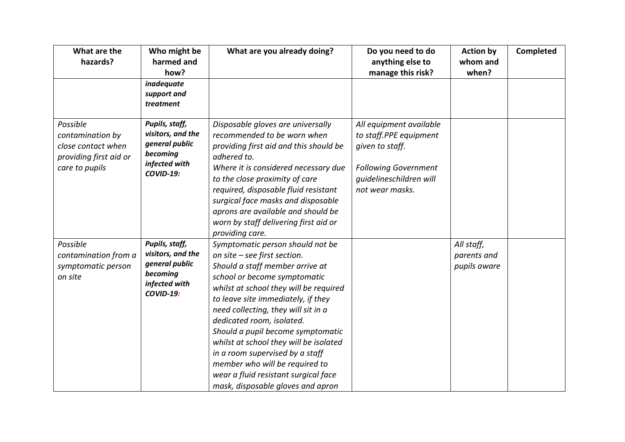| What are the<br>hazards?                                                                       | Who might be<br>harmed and<br>how?                                                              | What are you already doing?                                                                                                                                                                                                                                                                                                                                                                                                                                                                                              | Do you need to do<br>anything else to<br>manage this risk?                                                                                        | <b>Action by</b><br>whom and<br>when?     | Completed |
|------------------------------------------------------------------------------------------------|-------------------------------------------------------------------------------------------------|--------------------------------------------------------------------------------------------------------------------------------------------------------------------------------------------------------------------------------------------------------------------------------------------------------------------------------------------------------------------------------------------------------------------------------------------------------------------------------------------------------------------------|---------------------------------------------------------------------------------------------------------------------------------------------------|-------------------------------------------|-----------|
|                                                                                                | inadequate<br>support and<br>treatment                                                          |                                                                                                                                                                                                                                                                                                                                                                                                                                                                                                                          |                                                                                                                                                   |                                           |           |
| Possible<br>contamination by<br>close contact when<br>providing first aid or<br>care to pupils | Pupils, staff,<br>visitors, and the<br>general public<br>becoming<br>infected with<br>COVID-19: | Disposable gloves are universally<br>recommended to be worn when<br>providing first aid and this should be<br>adhered to.<br>Where it is considered necessary due<br>to the close proximity of care<br>required, disposable fluid resistant<br>surgical face masks and disposable<br>aprons are available and should be<br>worn by staff delivering first aid or<br>providing care.                                                                                                                                      | All equipment available<br>to staff.PPE equipment<br>given to staff.<br><b>Following Government</b><br>quidelineschildren will<br>not wear masks. |                                           |           |
| Possible<br>contamination from a<br>symptomatic person<br>on site                              | Pupils, staff,<br>visitors, and the<br>general public<br>becoming<br>infected with<br>COVID-19: | Symptomatic person should not be<br>on site - see first section.<br>Should a staff member arrive at<br>school or become symptomatic<br>whilst at school they will be required<br>to leave site immediately, if they<br>need collecting, they will sit in a<br>dedicated room, isolated.<br>Should a pupil become symptomatic<br>whilst at school they will be isolated<br>in a room supervised by a staff<br>member who will be required to<br>wear a fluid resistant surgical face<br>mask, disposable gloves and apron |                                                                                                                                                   | All staff,<br>parents and<br>pupils aware |           |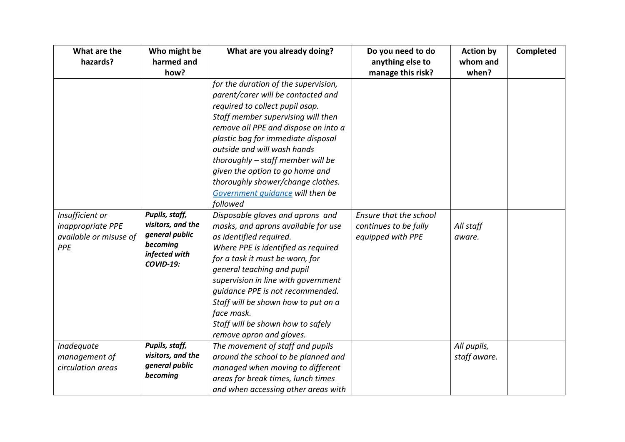| What are the           | Who might be      | What are you already doing?          | Do you need to do      | <b>Action by</b> | Completed |
|------------------------|-------------------|--------------------------------------|------------------------|------------------|-----------|
| hazards?               | harmed and        |                                      | anything else to       | whom and         |           |
|                        | how?              |                                      | manage this risk?      | when?            |           |
|                        |                   | for the duration of the supervision, |                        |                  |           |
|                        |                   | parent/carer will be contacted and   |                        |                  |           |
|                        |                   | required to collect pupil asap.      |                        |                  |           |
|                        |                   | Staff member supervising will then   |                        |                  |           |
|                        |                   | remove all PPE and dispose on into a |                        |                  |           |
|                        |                   | plastic bag for immediate disposal   |                        |                  |           |
|                        |                   | outside and will wash hands          |                        |                  |           |
|                        |                   | thoroughly - staff member will be    |                        |                  |           |
|                        |                   | given the option to go home and      |                        |                  |           |
|                        |                   | thoroughly shower/change clothes.    |                        |                  |           |
|                        |                   | Government quidance will then be     |                        |                  |           |
|                        |                   | followed                             |                        |                  |           |
| Insufficient or        | Pupils, staff,    | Disposable gloves and aprons and     | Ensure that the school |                  |           |
| inappropriate PPE      | visitors, and the | masks, and aprons available for use  | continues to be fully  | All staff        |           |
| available or misuse of | general public    | as identified required.              | equipped with PPE      | aware.           |           |
| PPE                    | becoming          | Where PPE is identified as required  |                        |                  |           |
|                        | infected with     | for a task it must be worn, for      |                        |                  |           |
|                        | <b>COVID-19:</b>  | general teaching and pupil           |                        |                  |           |
|                        |                   | supervision in line with government  |                        |                  |           |
|                        |                   | guidance PPE is not recommended.     |                        |                  |           |
|                        |                   | Staff will be shown how to put on a  |                        |                  |           |
|                        |                   | face mask.                           |                        |                  |           |
|                        |                   | Staff will be shown how to safely    |                        |                  |           |
|                        |                   | remove apron and gloves.             |                        |                  |           |
| Inadequate             | Pupils, staff,    | The movement of staff and pupils     |                        | All pupils,      |           |
| management of          | visitors, and the | around the school to be planned and  |                        | staff aware.     |           |
| circulation areas      | general public    | managed when moving to different     |                        |                  |           |
|                        | becoming          | areas for break times, lunch times   |                        |                  |           |
|                        |                   | and when accessing other areas with  |                        |                  |           |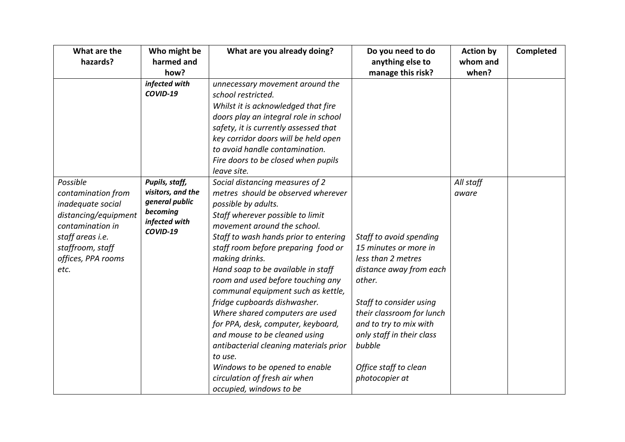| What are the         | Who might be                          | What are you already doing?            | Do you need to do         | <b>Action by</b> | <b>Completed</b> |
|----------------------|---------------------------------------|----------------------------------------|---------------------------|------------------|------------------|
| hazards?             | harmed and                            |                                        | anything else to          | whom and         |                  |
|                      | how?                                  |                                        | manage this risk?         | when?            |                  |
|                      | infected with                         | unnecessary movement around the        |                           |                  |                  |
|                      | COVID-19                              | school restricted.                     |                           |                  |                  |
|                      |                                       | Whilst it is acknowledged that fire    |                           |                  |                  |
|                      |                                       | doors play an integral role in school  |                           |                  |                  |
|                      |                                       | safety, it is currently assessed that  |                           |                  |                  |
|                      |                                       | key corridor doors will be held open   |                           |                  |                  |
|                      |                                       | to avoid handle contamination.         |                           |                  |                  |
|                      |                                       | Fire doors to be closed when pupils    |                           |                  |                  |
|                      |                                       | leave site.                            |                           |                  |                  |
| Possible             | Pupils, staff,                        | Social distancing measures of 2        |                           | All staff        |                  |
| contamination from   | visitors, and the                     | metres should be observed wherever     |                           | aware            |                  |
| inadequate social    | general public                        | possible by adults.                    |                           |                  |                  |
| distancing/equipment | becoming<br>infected with<br>COVID-19 | Staff wherever possible to limit       |                           |                  |                  |
| contamination in     |                                       | movement around the school.            |                           |                  |                  |
| staff areas i.e.     |                                       | Staff to wash hands prior to entering  | Staff to avoid spending   |                  |                  |
| staffroom, staff     |                                       | staff room before preparing food or    | 15 minutes or more in     |                  |                  |
| offices, PPA rooms   |                                       | making drinks.                         | less than 2 metres        |                  |                  |
| etc.                 |                                       | Hand soap to be available in staff     | distance away from each   |                  |                  |
|                      |                                       | room and used before touching any      | other.                    |                  |                  |
|                      |                                       | communal equipment such as kettle,     |                           |                  |                  |
|                      |                                       | fridge cupboards dishwasher.           | Staff to consider using   |                  |                  |
|                      |                                       | Where shared computers are used        | their classroom for lunch |                  |                  |
|                      |                                       | for PPA, desk, computer, keyboard,     | and to try to mix with    |                  |                  |
|                      |                                       | and mouse to be cleaned using          | only staff in their class |                  |                  |
|                      |                                       | antibacterial cleaning materials prior | bubble                    |                  |                  |
|                      |                                       | to use.                                |                           |                  |                  |
|                      |                                       | Windows to be opened to enable         | Office staff to clean     |                  |                  |
|                      |                                       | circulation of fresh air when          | photocopier at            |                  |                  |
|                      |                                       | occupied, windows to be                |                           |                  |                  |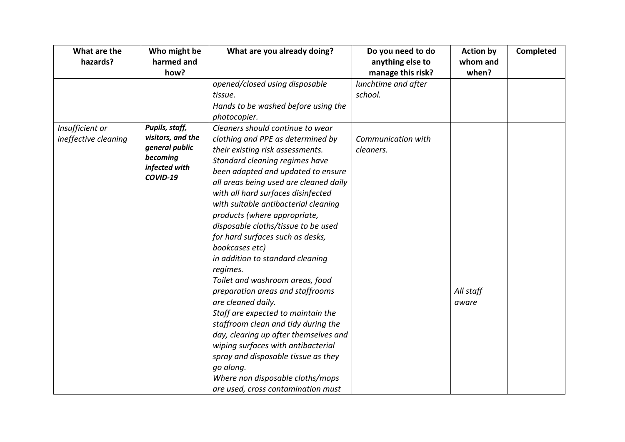| What are the         | Who might be              | What are you already doing?            | Do you need to do   | <b>Action by</b> | <b>Completed</b> |
|----------------------|---------------------------|----------------------------------------|---------------------|------------------|------------------|
| hazards?             | harmed and                |                                        | anything else to    | whom and         |                  |
|                      | how?                      |                                        | manage this risk?   | when?            |                  |
|                      |                           | opened/closed using disposable         | lunchtime and after |                  |                  |
|                      |                           | tissue.                                | school.             |                  |                  |
|                      |                           | Hands to be washed before using the    |                     |                  |                  |
|                      |                           | photocopier.                           |                     |                  |                  |
| Insufficient or      | Pupils, staff,            | Cleaners should continue to wear       |                     |                  |                  |
| ineffective cleaning | visitors, and the         | clothing and PPE as determined by      | Communication with  |                  |                  |
|                      | general public            | their existing risk assessments.       | cleaners.           |                  |                  |
|                      | becoming                  | Standard cleaning regimes have         |                     |                  |                  |
|                      | infected with<br>COVID-19 | been adapted and updated to ensure     |                     |                  |                  |
|                      |                           | all areas being used are cleaned daily |                     |                  |                  |
|                      |                           | with all hard surfaces disinfected     |                     |                  |                  |
|                      |                           | with suitable antibacterial cleaning   |                     |                  |                  |
|                      |                           | products (where appropriate,           |                     |                  |                  |
|                      |                           | disposable cloths/tissue to be used    |                     |                  |                  |
|                      |                           | for hard surfaces such as desks,       |                     |                  |                  |
|                      |                           | bookcases etc)                         |                     |                  |                  |
|                      |                           | in addition to standard cleaning       |                     |                  |                  |
|                      |                           | regimes.                               |                     |                  |                  |
|                      |                           | Toilet and washroom areas, food        |                     |                  |                  |
|                      |                           | preparation areas and staffrooms       |                     | All staff        |                  |
|                      |                           | are cleaned daily.                     |                     | aware            |                  |
|                      |                           | Staff are expected to maintain the     |                     |                  |                  |
|                      |                           | staffroom clean and tidy during the    |                     |                  |                  |
|                      |                           | day, clearing up after themselves and  |                     |                  |                  |
|                      |                           | wiping surfaces with antibacterial     |                     |                  |                  |
|                      |                           | spray and disposable tissue as they    |                     |                  |                  |
|                      |                           | go along.                              |                     |                  |                  |
|                      |                           | Where non disposable cloths/mops       |                     |                  |                  |
|                      |                           | are used, cross contamination must     |                     |                  |                  |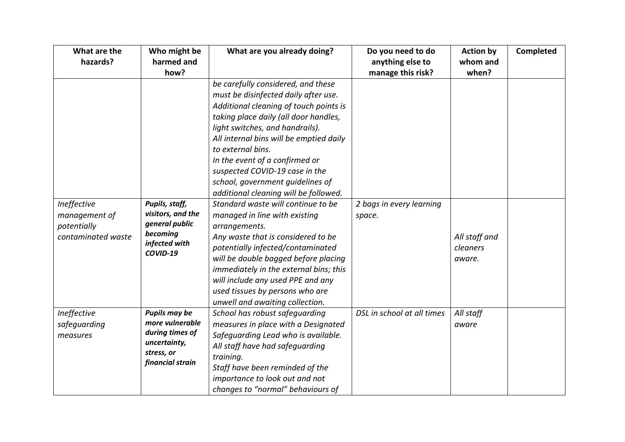| What are the       | Who might be              | What are you already doing?             | Do you need to do          | <b>Action by</b> | Completed |
|--------------------|---------------------------|-----------------------------------------|----------------------------|------------------|-----------|
| hazards?           | harmed and                |                                         | anything else to           | whom and         |           |
|                    | how?                      |                                         | manage this risk?          | when?            |           |
|                    |                           | be carefully considered, and these      |                            |                  |           |
|                    |                           | must be disinfected daily after use.    |                            |                  |           |
|                    |                           | Additional cleaning of touch points is  |                            |                  |           |
|                    |                           | taking place daily (all door handles,   |                            |                  |           |
|                    |                           | light switches, and handrails).         |                            |                  |           |
|                    |                           | All internal bins will be emptied daily |                            |                  |           |
|                    |                           | to external bins.                       |                            |                  |           |
|                    |                           | In the event of a confirmed or          |                            |                  |           |
|                    |                           | suspected COVID-19 case in the          |                            |                  |           |
|                    |                           | school, government guidelines of        |                            |                  |           |
|                    |                           | additional cleaning will be followed.   |                            |                  |           |
| Ineffective        | Pupils, staff,            | Standard waste will continue to be      | 2 bags in every learning   |                  |           |
| management of      | visitors, and the         | managed in line with existing           | space.                     |                  |           |
| potentially        | general public            | arrangements.                           |                            |                  |           |
| contaminated waste | becoming                  | Any waste that is considered to be      |                            | All staff and    |           |
|                    | infected with<br>COVID-19 | potentially infected/contaminated       |                            | cleaners         |           |
|                    |                           | will be double bagged before placing    |                            | aware.           |           |
|                    |                           | immediately in the external bins; this  |                            |                  |           |
|                    |                           | will include any used PPE and any       |                            |                  |           |
|                    |                           | used tissues by persons who are         |                            |                  |           |
|                    |                           | unwell and awaiting collection.         |                            |                  |           |
| Ineffective        | <b>Pupils may be</b>      | School has robust safequarding          | DSL in school at all times | All staff        |           |
| safeguarding       | more vulnerable           | measures in place with a Designated     |                            | aware            |           |
| measures           | during times of           | Safeguarding Lead who is available.     |                            |                  |           |
|                    | uncertainty,              | All staff have had safeguarding         |                            |                  |           |
|                    | stress, or                | training.                               |                            |                  |           |
|                    | financial strain          | Staff have been reminded of the         |                            |                  |           |
|                    |                           | importance to look out and not          |                            |                  |           |
|                    |                           | changes to "normal" behaviours of       |                            |                  |           |